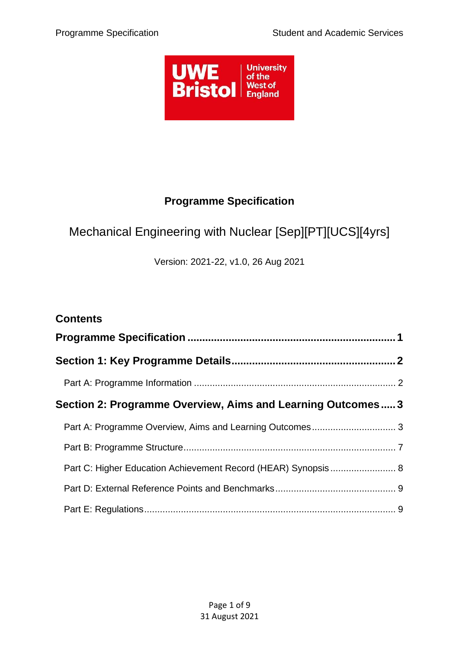

# **Programme Specification**

# <span id="page-0-0"></span>Mechanical Engineering with Nuclear [Sep][PT][UCS][4yrs]

Version: 2021-22, v1.0, 26 Aug 2021

| <b>Contents</b>                                               |  |
|---------------------------------------------------------------|--|
|                                                               |  |
|                                                               |  |
|                                                               |  |
| Section 2: Programme Overview, Aims and Learning Outcomes 3   |  |
|                                                               |  |
|                                                               |  |
| Part C: Higher Education Achievement Record (HEAR) Synopsis 8 |  |
|                                                               |  |
|                                                               |  |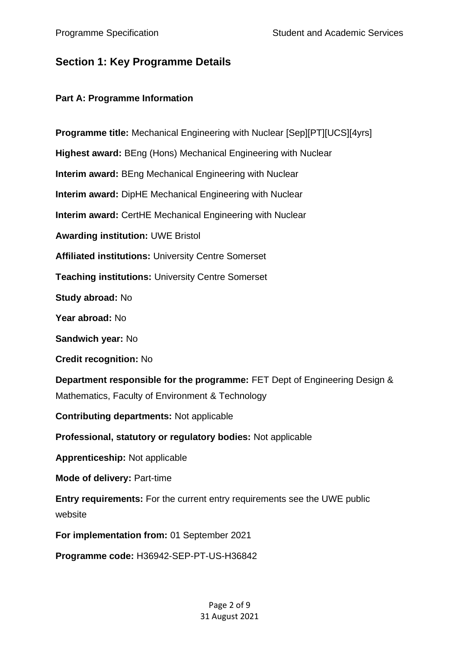# <span id="page-1-0"></span>**Section 1: Key Programme Details**

### <span id="page-1-1"></span>**Part A: Programme Information**

**Programme title:** Mechanical Engineering with Nuclear [Sep][PT][UCS][4yrs] **Highest award:** BEng (Hons) Mechanical Engineering with Nuclear **Interim award:** BEng Mechanical Engineering with Nuclear **Interim award:** DipHE Mechanical Engineering with Nuclear **Interim award:** CertHE Mechanical Engineering with Nuclear **Awarding institution:** UWE Bristol **Affiliated institutions:** University Centre Somerset **Teaching institutions:** University Centre Somerset **Study abroad:** No **Year abroad:** No **Sandwich year:** No **Credit recognition:** No **Department responsible for the programme:** FET Dept of Engineering Design & Mathematics, Faculty of Environment & Technology **Contributing departments:** Not applicable **Professional, statutory or regulatory bodies:** Not applicable **Apprenticeship:** Not applicable **Mode of delivery:** Part-time **Entry requirements:** For the current entry requirements see the UWE public website **For implementation from:** 01 September 2021

**Programme code:** H36942-SEP-PT-US-H36842

Page 2 of 9 31 August 2021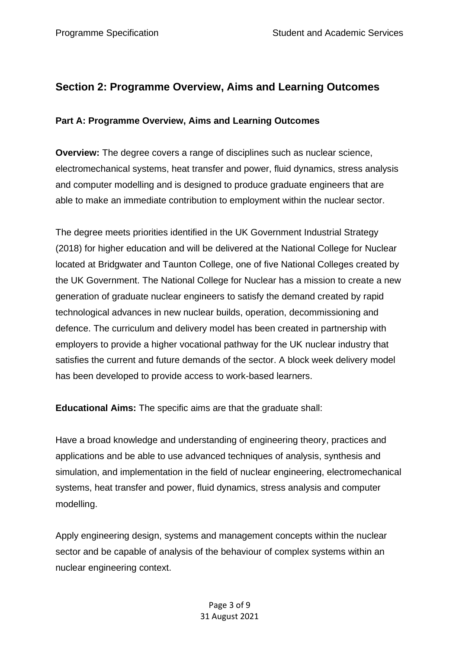# <span id="page-2-0"></span>**Section 2: Programme Overview, Aims and Learning Outcomes**

# <span id="page-2-1"></span>**Part A: Programme Overview, Aims and Learning Outcomes**

**Overview:** The degree covers a range of disciplines such as nuclear science, electromechanical systems, heat transfer and power, fluid dynamics, stress analysis and computer modelling and is designed to produce graduate engineers that are able to make an immediate contribution to employment within the nuclear sector.

The degree meets priorities identified in the UK Government Industrial Strategy (2018) for higher education and will be delivered at the National College for Nuclear located at Bridgwater and Taunton College, one of five National Colleges created by the UK Government. The National College for Nuclear has a mission to create a new generation of graduate nuclear engineers to satisfy the demand created by rapid technological advances in new nuclear builds, operation, decommissioning and defence. The curriculum and delivery model has been created in partnership with employers to provide a higher vocational pathway for the UK nuclear industry that satisfies the current and future demands of the sector. A block week delivery model has been developed to provide access to work-based learners.

**Educational Aims:** The specific aims are that the graduate shall:

Have a broad knowledge and understanding of engineering theory, practices and applications and be able to use advanced techniques of analysis, synthesis and simulation, and implementation in the field of nuclear engineering, electromechanical systems, heat transfer and power, fluid dynamics, stress analysis and computer modelling.

Apply engineering design, systems and management concepts within the nuclear sector and be capable of analysis of the behaviour of complex systems within an nuclear engineering context.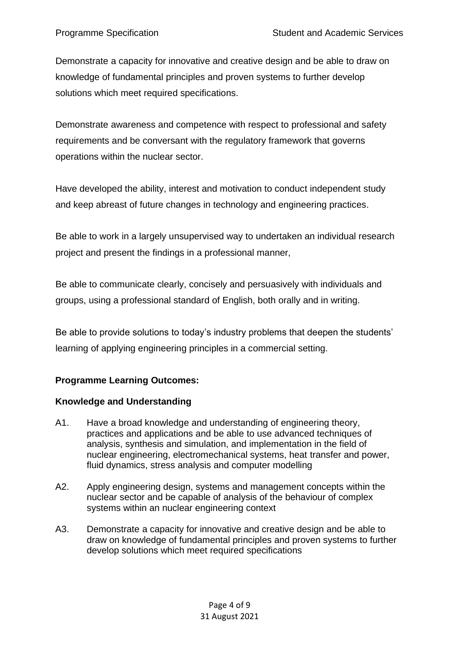Demonstrate a capacity for innovative and creative design and be able to draw on knowledge of fundamental principles and proven systems to further develop solutions which meet required specifications.

Demonstrate awareness and competence with respect to professional and safety requirements and be conversant with the regulatory framework that governs operations within the nuclear sector.

Have developed the ability, interest and motivation to conduct independent study and keep abreast of future changes in technology and engineering practices.

Be able to work in a largely unsupervised way to undertaken an individual research project and present the findings in a professional manner,

Be able to communicate clearly, concisely and persuasively with individuals and groups, using a professional standard of English, both orally and in writing.

Be able to provide solutions to today's industry problems that deepen the students' learning of applying engineering principles in a commercial setting.

# **Programme Learning Outcomes:**

# **Knowledge and Understanding**

- A1. Have a broad knowledge and understanding of engineering theory, practices and applications and be able to use advanced techniques of analysis, synthesis and simulation, and implementation in the field of nuclear engineering, electromechanical systems, heat transfer and power, fluid dynamics, stress analysis and computer modelling
- A2. Apply engineering design, systems and management concepts within the nuclear sector and be capable of analysis of the behaviour of complex systems within an nuclear engineering context
- A3. Demonstrate a capacity for innovative and creative design and be able to draw on knowledge of fundamental principles and proven systems to further develop solutions which meet required specifications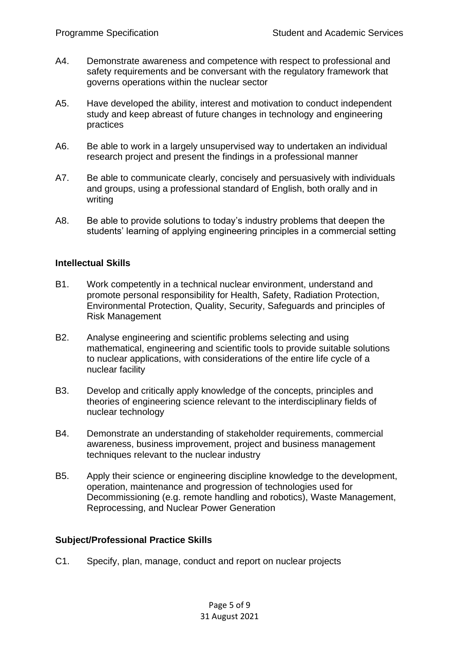- A4. Demonstrate awareness and competence with respect to professional and safety requirements and be conversant with the regulatory framework that governs operations within the nuclear sector
- A5. Have developed the ability, interest and motivation to conduct independent study and keep abreast of future changes in technology and engineering practices
- A6. Be able to work in a largely unsupervised way to undertaken an individual research project and present the findings in a professional manner
- A7. Be able to communicate clearly, concisely and persuasively with individuals and groups, using a professional standard of English, both orally and in writing
- A8. Be able to provide solutions to today's industry problems that deepen the students' learning of applying engineering principles in a commercial setting

#### **Intellectual Skills**

- B1. Work competently in a technical nuclear environment, understand and promote personal responsibility for Health, Safety, Radiation Protection, Environmental Protection, Quality, Security, Safeguards and principles of Risk Management
- B2. Analyse engineering and scientific problems selecting and using mathematical, engineering and scientific tools to provide suitable solutions to nuclear applications, with considerations of the entire life cycle of a nuclear facility
- B3. Develop and critically apply knowledge of the concepts, principles and theories of engineering science relevant to the interdisciplinary fields of nuclear technology
- B4. Demonstrate an understanding of stakeholder requirements, commercial awareness, business improvement, project and business management techniques relevant to the nuclear industry
- B5. Apply their science or engineering discipline knowledge to the development, operation, maintenance and progression of technologies used for Decommissioning (e.g. remote handling and robotics), Waste Management, Reprocessing, and Nuclear Power Generation

# **Subject/Professional Practice Skills**

C1. Specify, plan, manage, conduct and report on nuclear projects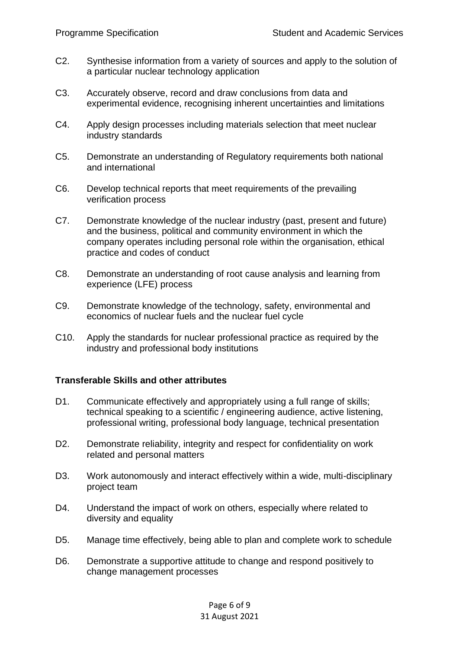- C2. Synthesise information from a variety of sources and apply to the solution of a particular nuclear technology application
- C3. Accurately observe, record and draw conclusions from data and experimental evidence, recognising inherent uncertainties and limitations
- C4. Apply design processes including materials selection that meet nuclear industry standards
- C5. Demonstrate an understanding of Regulatory requirements both national and international
- C6. Develop technical reports that meet requirements of the prevailing verification process
- C7. Demonstrate knowledge of the nuclear industry (past, present and future) and the business, political and community environment in which the company operates including personal role within the organisation, ethical practice and codes of conduct
- C8. Demonstrate an understanding of root cause analysis and learning from experience (LFE) process
- C9. Demonstrate knowledge of the technology, safety, environmental and economics of nuclear fuels and the nuclear fuel cycle
- C10. Apply the standards for nuclear professional practice as required by the industry and professional body institutions

#### **Transferable Skills and other attributes**

- D1. Communicate effectively and appropriately using a full range of skills; technical speaking to a scientific / engineering audience, active listening, professional writing, professional body language, technical presentation
- D2. Demonstrate reliability, integrity and respect for confidentiality on work related and personal matters
- D3. Work autonomously and interact effectively within a wide, multi-disciplinary project team
- D4. Understand the impact of work on others, especially where related to diversity and equality
- D5. Manage time effectively, being able to plan and complete work to schedule
- D6. Demonstrate a supportive attitude to change and respond positively to change management processes

Page 6 of 9 31 August 2021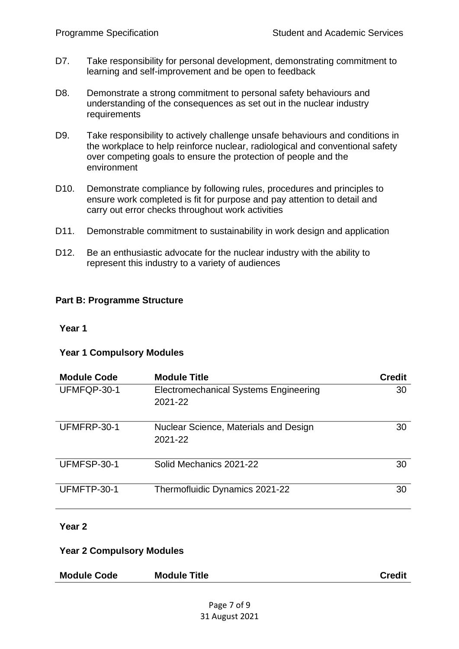- D7. Take responsibility for personal development, demonstrating commitment to learning and self-improvement and be open to feedback
- D8. Demonstrate a strong commitment to personal safety behaviours and understanding of the consequences as set out in the nuclear industry requirements
- D9. Take responsibility to actively challenge unsafe behaviours and conditions in the workplace to help reinforce nuclear, radiological and conventional safety over competing goals to ensure the protection of people and the environment
- D10. Demonstrate compliance by following rules, procedures and principles to ensure work completed is fit for purpose and pay attention to detail and carry out error checks throughout work activities
- D11. Demonstrable commitment to sustainability in work design and application
- D12. Be an enthusiastic advocate for the nuclear industry with the ability to represent this industry to a variety of audiences

# <span id="page-6-0"></span>**Part B: Programme Structure**

#### **Year 1**

#### **Year 1 Compulsory Modules**

| <b>Module Code</b> | <b>Module Title</b>                                     | <b>Credit</b> |
|--------------------|---------------------------------------------------------|---------------|
| UFMFQP-30-1        | <b>Electromechanical Systems Engineering</b><br>2021-22 | 30            |
| UFMFRP-30-1        | Nuclear Science, Materials and Design<br>2021-22        | 30            |
| UFMFSP-30-1        | Solid Mechanics 2021-22                                 | 30            |
| UFMFTP-30-1        | Thermofluidic Dynamics 2021-22                          | 30            |

#### **Year 2**

#### **Year 2 Compulsory Modules**

| <b>Module Code</b> | <b>Module Title</b> | <b>Credit</b> |
|--------------------|---------------------|---------------|
|                    |                     |               |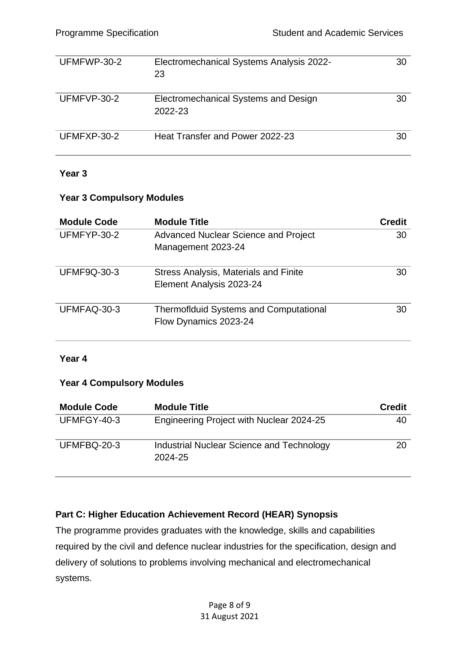| UFMFWP-30-2 | Electromechanical Systems Analysis 2022-<br>23  | 30 |
|-------------|-------------------------------------------------|----|
| UFMFVP-30-2 | Electromechanical Systems and Design<br>2022-23 | 30 |
| UFMFXP-30-2 | Heat Transfer and Power 2022-23                 | 30 |

#### **Year 3**

#### **Year 3 Compulsory Modules**

| <b>Module Code</b> | <b>Module Title</b>                                                    | <b>Credit</b> |
|--------------------|------------------------------------------------------------------------|---------------|
| UFMFYP-30-2        | Advanced Nuclear Science and Project                                   | 30            |
|                    | Management 2023-24                                                     |               |
| <b>UFMF9Q-30-3</b> | <b>Stress Analysis, Materials and Finite</b>                           | 30            |
|                    | Element Analysis 2023-24                                               |               |
| UFMFAQ-30-3        | <b>Thermofiduid Systems and Computational</b><br>Flow Dynamics 2023-24 | 30            |

#### **Year 4**

#### **Year 4 Compulsory Modules**

| <b>Module Code</b> | <b>Module Title</b>                                  | <b>Credit</b> |
|--------------------|------------------------------------------------------|---------------|
| UFMFGY-40-3        | Engineering Project with Nuclear 2024-25             | 40            |
| UFMFBQ-20-3        | Industrial Nuclear Science and Technology<br>2024-25 | 20            |

# <span id="page-7-0"></span>**Part C: Higher Education Achievement Record (HEAR) Synopsis**

The programme provides graduates with the knowledge, skills and capabilities required by the civil and defence nuclear industries for the specification, design and delivery of solutions to problems involving mechanical and electromechanical systems.

> Page 8 of 9 31 August 2021